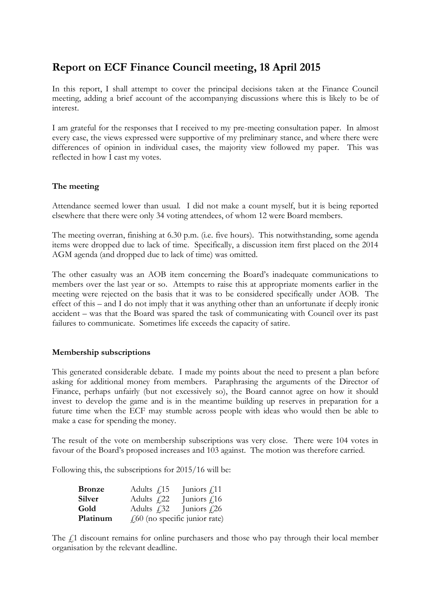# **Report on ECF Finance Council meeting, 18 April 2015**

In this report, I shall attempt to cover the principal decisions taken at the Finance Council meeting, adding a brief account of the accompanying discussions where this is likely to be of interest.

I am grateful for the responses that I received to my pre-meeting consultation paper. In almost every case, the views expressed were supportive of my preliminary stance, and where there were differences of opinion in individual cases, the majority view followed my paper. This was reflected in how I cast my votes.

## **The meeting**

Attendance seemed lower than usual. I did not make a count myself, but it is being reported elsewhere that there were only 34 voting attendees, of whom 12 were Board members.

The meeting overran, finishing at 6.30 p.m. (i.e. five hours). This notwithstanding, some agenda items were dropped due to lack of time. Specifically, a discussion item first placed on the 2014 AGM agenda (and dropped due to lack of time) was omitted.

The other casualty was an AOB item concerning the Board's inadequate communications to members over the last year or so. Attempts to raise this at appropriate moments earlier in the meeting were rejected on the basis that it was to be considered specifically under AOB. The effect of this – and I do not imply that it was anything other than an unfortunate if deeply ironic accident – was that the Board was spared the task of communicating with Council over its past failures to communicate. Sometimes life exceeds the capacity of satire.

## **Membership subscriptions**

This generated considerable debate. I made my points about the need to present a plan before asking for additional money from members. Paraphrasing the arguments of the Director of Finance, perhaps unfairly (but not excessively so), the Board cannot agree on how it should invest to develop the game and is in the meantime building up reserves in preparation for a future time when the ECF may stumble across people with ideas who would then be able to make a case for spending the money.

The result of the vote on membership subscriptions was very close. There were 104 votes in favour of the Board's proposed increases and 103 against. The motion was therefore carried.

Following this, the subscriptions for 2015/16 will be:

| <b>Bronze</b> | Adults $\int$ 15    | Juniors $f_{.}11$                 |
|---------------|---------------------|-----------------------------------|
| Silver        | Adults $f122$       | Juniors $f$ 16                    |
| Gold          | Adults $\sqrt{.32}$ | Juniors $\sqrt{26}$               |
| Platinum      |                     | $f(60)$ (no specific junior rate) |

The  $f$ 1 discount remains for online purchasers and those who pay through their local member organisation by the relevant deadline.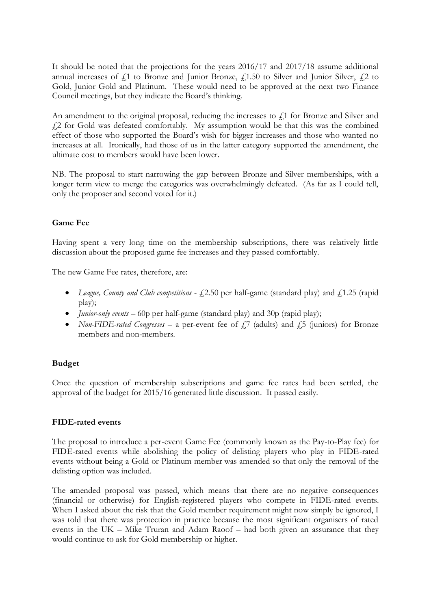It should be noted that the projections for the years 2016/17 and 2017/18 assume additional annual increases of  $f<sub>i</sub>1$  to Bronze and Junior Bronze,  $f<sub>i</sub>1.50$  to Silver and Junior Silver,  $f<sub>i</sub>2$  to Gold, Junior Gold and Platinum. These would need to be approved at the next two Finance Council meetings, but they indicate the Board's thinking.

An amendment to the original proposal, reducing the increases to  $f<sub>i</sub>$ 1 for Bronze and Silver and £2 for Gold was defeated comfortably. My assumption would be that this was the combined effect of those who supported the Board's wish for bigger increases and those who wanted no increases at all. Ironically, had those of us in the latter category supported the amendment, the ultimate cost to members would have been lower.

NB. The proposal to start narrowing the gap between Bronze and Silver memberships, with a longer term view to merge the categories was overwhelmingly defeated. (As far as I could tell, only the proposer and second voted for it.)

# **Game Fee**

Having spent a very long time on the membership subscriptions, there was relatively little discussion about the proposed game fee increases and they passed comfortably.

The new Game Fee rates, therefore, are:

- League, County and Club competitions  $f2.50$  per half-game (standard play) and  $f1.25$  (rapid play);
- *Junior-only events* 60p per half-game (standard play) and 30p (rapid play);
- *Non-FIDE-rated Congresses* a per-event fee of  $f$ . (adults) and  $f$ . 5 (juniors) for Bronze members and non-members.

## **Budget**

Once the question of membership subscriptions and game fee rates had been settled, the approval of the budget for 2015/16 generated little discussion. It passed easily.

## **FIDE-rated events**

The proposal to introduce a per-event Game Fee (commonly known as the Pay-to-Play fee) for FIDE-rated events while abolishing the policy of delisting players who play in FIDE-rated events without being a Gold or Platinum member was amended so that only the removal of the delisting option was included.

The amended proposal was passed, which means that there are no negative consequences (financial or otherwise) for English-registered players who compete in FIDE-rated events. When I asked about the risk that the Gold member requirement might now simply be ignored, I was told that there was protection in practice because the most significant organisers of rated events in the UK – Mike Truran and Adam Raoof – had both given an assurance that they would continue to ask for Gold membership or higher.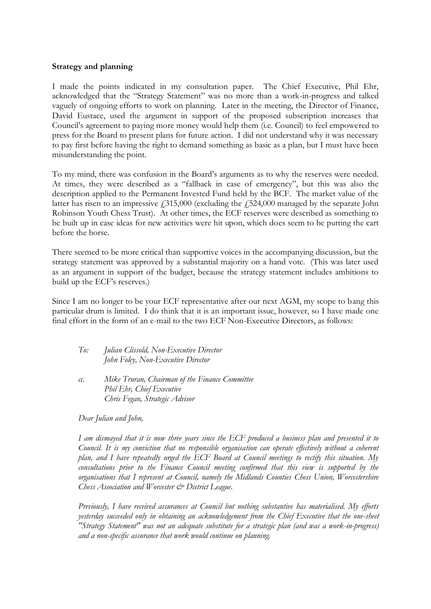#### **Strategy and planning**

I made the points indicated in my consultation paper. The Chief Executive, Phil Ehr, acknowledged that the "Strategy Statement" was no more than a work-in-progress and talked vaguely of ongoing efforts to work on planning. Later in the meeting, the Director of Finance, David Eustace, used the argument in support of the proposed subscription increases that Council's agreement to paying more money would help them (i.e. Council) to feel empowered to press for the Board to present plans for future action. I did not understand why it was necessary to pay first before having the right to demand something as basic as a plan, but I must have been misunderstanding the point.

To my mind, there was confusion in the Board's arguments as to why the reserves were needed. At times, they were described as a "fallback in case of emergency", but this was also the description applied to the Permanent Invested Fund held by the BCF. The market value of the latter has risen to an impressive  $\dot{\gamma}$  = 315,000 (excluding the  $\dot{\gamma}$  = 524,000 managed by the separate John Robinson Youth Chess Trust). At other times, the ECF reserves were described as something to be built up in case ideas for new activities were hit upon, which does seem to be putting the cart before the horse.

There seemed to be more critical than supportive voices in the accompanying discussion, but the strategy statement was approved by a substantial majority on a hand vote. (This was later used as an argument in support of the budget, because the strategy statement includes ambitions to build up the ECF's reserves.)

Since I am no longer to be your ECF representative after our next AGM, my scope to bang this particular drum is limited. I do think that it is an important issue, however, so I have made one final effort in the form of an e-mail to the two ECF Non-Executive Directors, as follows:

| To: | Julian Clissold, Non-Executive Director |
|-----|-----------------------------------------|
|     | John Foley, Non-Executive Director      |

*cc. Mike Truran, Chairman of the Finance Committee Phil Ehr, Chief Executive Chris Fegan, Strategic Advisor*

*Dear Julian and John,*

*I am dismayed that it is now three years since the ECF produced a business plan and presented it to Council. It is my conviction that no responsible organisation can operate effectively without a coherent plan, and I have repeatedly urged the ECF Board at Council meetings to rectify this situation. My consultations prior to the Finance Council meeting confirmed that this view is supported by the organisations that I represent at Council, namely the Midlands Counties Chess Union, Worcestershire Chess Association and Worcester & District League.*

*Previously, I have received assurances at Council but nothing substantive has materialised. My efforts yesterday succeeded only in obtaining an acknowledgement from the Chief Executive that the one-sheet "Strategy Statement" was not an adequate substitute for a strategic plan (and was a work-in-progress) and a non-specific assurance that work would continue on planning.*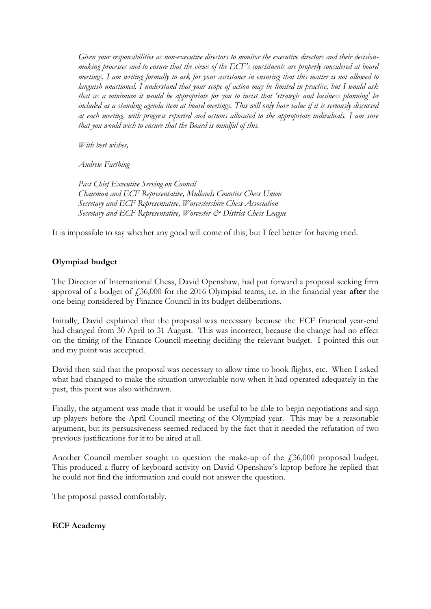*Given your responsibilities as non-executive directors to monitor the executive directors and their decisionmaking processes and to ensure that the views of the ECF's constituents are properly considered at board meetings, I am writing formally to ask for your assistance in ensuring that this matter is not allowed to languish unactioned. I understand that your scope of action may be limited in practice, but I would ask that as a minimum it would be appropriate for you to insist that 'strategic and business planning' be included as a standing agenda item at board meetings. This will only have value if it is seriously discussed at each meeting, with progress reported and actions allocated to the appropriate individuals. I am sure that you would wish to ensure that the Board is mindful of this.*

*With best wishes,*

*Andrew Farthing*

*Past Chief Executive Serving on Council Chairman and ECF Representative, Midlands Counties Chess Union Secretary and ECF Representative, Worcestershire Chess Association Secretary and ECF Representative, Worcester & District Chess League*

It is impossible to say whether any good will come of this, but I feel better for having tried.

# **Olympiad budget**

The Director of International Chess, David Openshaw, had put forward a proposal seeking firm approval of a budget of £36,000 for the 2016 Olympiad teams, i.e. in the financial year **after** the one being considered by Finance Council in its budget deliberations.

Initially, David explained that the proposal was necessary because the ECF financial year-end had changed from 30 April to 31 August. This was incorrect, because the change had no effect on the timing of the Finance Council meeting deciding the relevant budget. I pointed this out and my point was accepted.

David then said that the proposal was necessary to allow time to book flights, etc. When I asked what had changed to make the situation unworkable now when it had operated adequately in the past, this point was also withdrawn.

Finally, the argument was made that it would be useful to be able to begin negotiations and sign up players before the April Council meeting of the Olympiad year. This may be a reasonable argument, but its persuasiveness seemed reduced by the fact that it needed the refutation of two previous justifications for it to be aired at all.

Another Council member sought to question the make-up of the £36,000 proposed budget. This produced a flurry of keyboard activity on David Openshaw's laptop before he replied that he could not find the information and could not answer the question.

The proposal passed comfortably.

# **ECF Academy**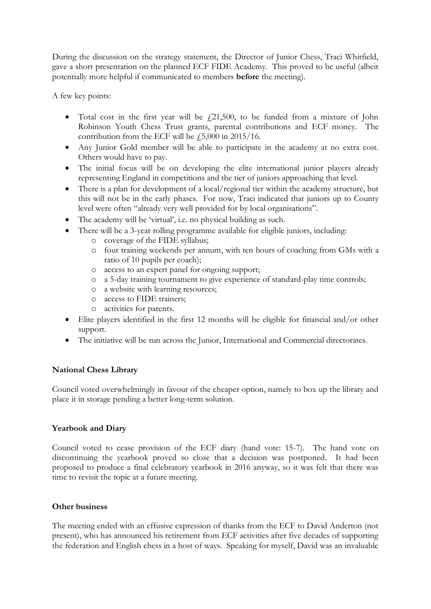During the discussion on the strategy statement, the Director of Junior Chess, Traci Whitfield, gave a short presentation on the planned ECF FIDE Academy. This proved to be useful (albeit potentially more helpful if communicated to members **before** the meeting).

A few key points:

- Total cost in the first year will be  $f(21,500)$ , to be funded from a mixture of John Robinson Youth Chess Trust grants, parental contributions and ECF money. The contribution from the ECF will be  $\text{\emph{f}}_5,000$  in 2015/16.
- Any Junior Gold member will be able to participate in the academy at no extra cost. Others would have to pay.
- The initial focus will be on developing the elite international junior players already representing England in competitions and the tier of juniors approaching that level.
- There is a plan for development of a local/regional tier within the academy structure, but this will not be in the early phases. For now, Traci indicated that juniors up to County level were often "already very well provided for by local organisations".
- The academy will be 'virtual', i.e. no physical building as such.
- There will be a 3-year rolling programme available for eligible juniors, including:
	- o coverage of the FIDE syllabus;
	- o four training weekends per annum, with ten hours of coaching from GMs with a ratio of 10 pupils per coach);
	- o access to an expert panel for ongoing support;
	- o a 5-day training tournament to give experience of standard-play time controls;
	- o a website with learning resources;
	- o access to FIDE trainers;
	- o activities for parents.
- Elite players identified in the first 12 months will be eligible for financial and/or other support.
- The initiative will be run across the Junior, International and Commercial directorates.

# **National Chess Library**

Council voted overwhelmingly in favour of the cheaper option, namely to box up the library and place it in storage pending a better long-term solution.

## **Yearbook and Diary**

Council voted to cease provision of the ECF diary (hand vote: 15-7). The hand vote on discontinuing the yearbook proved so close that a decision was postponed. It had been proposed to produce a final celebratory yearbook in 2016 anyway, so it was felt that there was time to revisit the topic at a future meeting.

## **Other business**

The meeting ended with an effusive expression of thanks from the ECF to David Anderton (not present), who has announced his retirement from ECF activities after five decades of supporting the federation and English chess in a host of ways. Speaking for myself, David was an invaluable